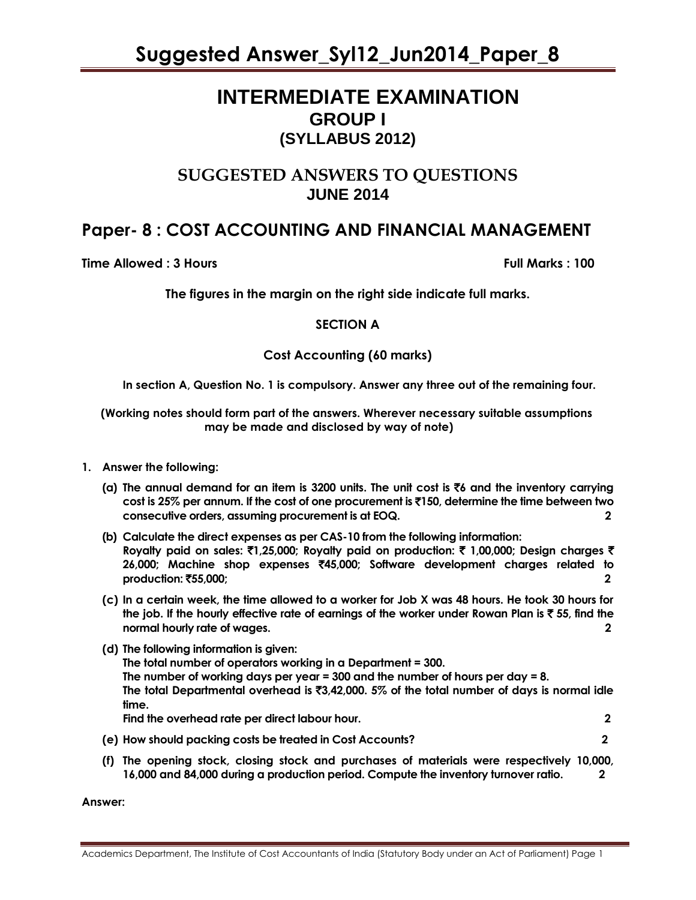## **INTERMEDIATE EXAMINATION GROUP I (SYLLABUS 2012)**

### **SUGGESTED ANSWERS TO QUESTIONS JUNE 2014**

## **Paper- 8 : COST ACCOUNTING AND FINANCIAL MANAGEMENT**

**Time Allowed : 3 Hours Full Marks : 100**

**The figures in the margin on the right side indicate full marks.**

#### **SECTION A**

#### **Cost Accounting (60 marks)**

**In section A, Question No. 1 is compulsory. Answer any three out of the remaining four.**

 **(Working notes should form part of the answers. Wherever necessary suitable assumptions may be made and disclosed by way of note)**

- **1. Answer the following:**
	- **(a) The annual demand for an item is 3200 units. The unit cost is** `**6 and the inventory carrying cost is 25% per annum. If the cost of one procurement is** `**150, determine the time between two consecutive orders, assuming procurement is at EOQ. 2**
	- **(b) Calculate the direct expenses as per CAS-10 from the following information: Royalty paid on sales:** `**1,25,000; Royalty paid on production:** ` **1,00,000; Design charges** ` **26,000; Machine shop expenses** `**45,000; Software development charges related to production: ₹55,000; 2**
	- **(c) In a certain week, the time allowed to a worker for Job X was 48 hours. He took 30 hours for the job. If the hourly effective rate of earnings of the worker under Rowan Plan is** ` **55, find the normal hourly rate of wages. 2**
	- **(d) The following information is given: The total number of operators working in a Department = 300. The number of working days per year = 300 and the number of hours per day = 8. The total Departmental overhead is** `**3,42,000. 5% of the total number of days is normal idle time. Find the overhead rate per direct labour hour. 2**
	- **(e) How should packing costs be treated in Cost Accounts? 2**
	- **(f) The opening stock, closing stock and purchases of materials were respectively 10,000, 16,000 and 84,000 during a production period. Compute the inventory turnover ratio. 2**

**Answer:**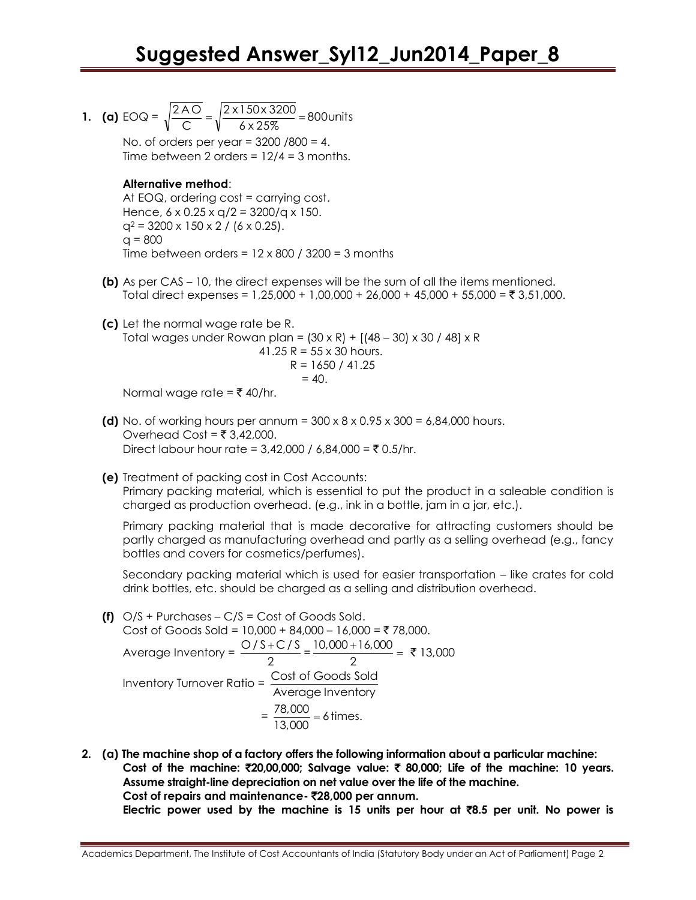**1. (a)** EOQ =  $\sqrt{\frac{2 \times 6}{C}} = \sqrt{\frac{2 \times 150 \times 5200}{6 \times 25\%}} = 800$  units 2 x 150 x 3200 C  $\frac{2AO}{2} = \sqrt{\frac{2 \times 150 \times 3200}{100}} =$ No. of orders per year = 3200 /800 = 4. Time between 2 orders =  $12/4 = 3$  months. **Alternative method**: At EOQ, ordering cost = carrying cost. Hence,  $6 \times 0.25 \times q/2 = 3200/q \times 150$ .  $q^2 = 3200 \times 150 \times 2 / (6 \times 0.25)$ .  $q = 800$ Time between orders =  $12 \times 800$  / 3200 = 3 months **(b)** As per CAS – 10, the direct expenses will be the sum of all the items mentioned. Total direct expenses =  $1,25,000 + 1,00,000 + 26,000 + 45,000 + 55,000 = ₹ 3,51,000$ . **(c)** Let the normal wage rate be R. Total wages under Rowan plan =  $(30 \times R) + [(48 - 30) \times 30 / 48] \times R$ 41.25  $R = 55 \times 30$  hours.  $R = 1650 / 41.25$  $= 40.$ 

Normal wage rate =  $\bar{\tau}$  40/hr.

- **(d)** No. of working hours per annum =  $300 \times 8 \times 0.95 \times 300 = 6,84,000$  hours. Overhead Cost =  $\overline{5}$  3,42,000. Direct labour hour rate =  $3.42,000 / 6.84,000 = ₹ 0.5/hr.$
- **(e)** Treatment of packing cost in Cost Accounts:

Primary packing material, which is essential to put the product in a saleable condition is charged as production overhead. (e.g., ink in a bottle, jam in a jar, etc.).

Primary packing material that is made decorative for attracting customers should be partly charged as manufacturing overhead and partly as a selling overhead (e.g., fancy bottles and covers for cosmetics/perfumes).

Secondary packing material which is used for easier transportation – like crates for cold drink bottles, etc. should be charged as a selling and distribution overhead.

- **(f)** O/S + Purchases C/S = Cost of Goods Sold. Cost of Goods Sold = 10,000 + 84,000 - 16,000 = ₹ 78,000. Average Inventory =  $\frac{O/S+C/S}{O}$ 2  $\frac{+C}{2}$  =  $\frac{10,000+16,000}{2}$  = ₹ 13,000  $\frac{+16,000}{2} = ₹$ Inventory Turnover Ratio = Cost of Goods Sold Average Inventory  $=\frac{78,000}{13,000} = 6$  times.
- **2. (a) The machine shop of a factory offers the following information about a particular machine: Cost of the machine:** `**20,00,000; Salvage value:** ` **80,000; Life of the machine: 10 years. Assume straight-line depreciation on net value over the life of the machine. Cost of repairs and maintenance-** `**28,000 per annum. Electric power used by the machine is 15 units per hour at** `**8.5 per unit. No power is**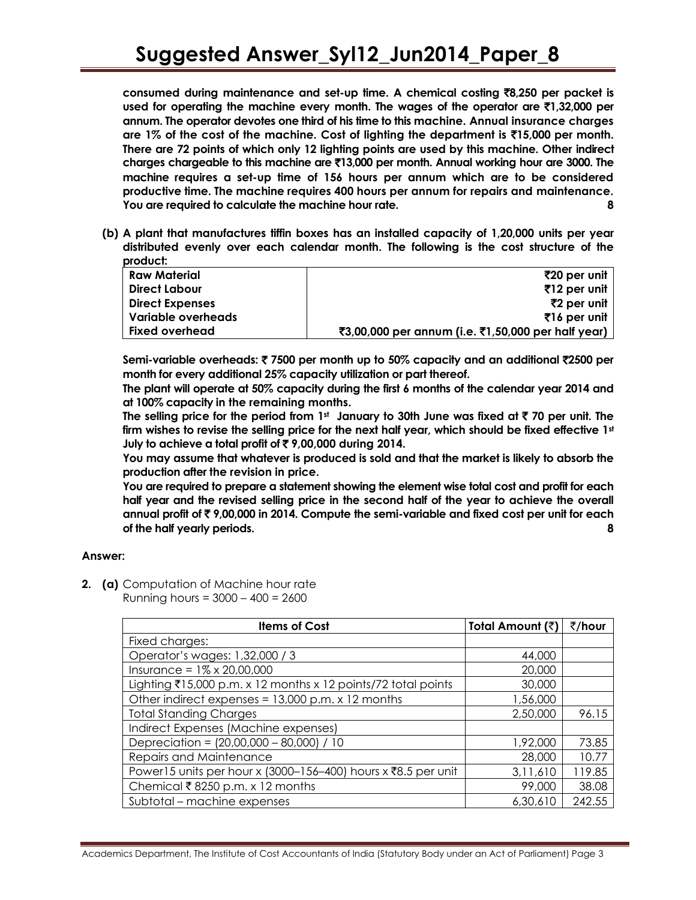**consumed during maintenance and set-up time. A chemical costing** `**8,250 per packet is used for operating the machine every month. The wages of the operator are** `**1,32,000 per annum. The operator devotes one third of his time to this machine. Annual insurance charges are 1% of the cost of the machine. Cost of lighting the department is** `**15,000 per month. There are 72 points of which only 12 lighting points are used by this machine. Other indirect charges chargeable to this machine are** `**13,000 per month. Annual working hour are 3000. The machine requires a set-up time of 156 hours per annum which are to be considered productive time. The machine requires 400 hours per annum for repairs and maintenance. You are required to calculate the machine hour rate. 8**

**(b) A plant that manufactures tiffin boxes has an installed capacity of 1,20,000 units per year distributed evenly over each calendar month. The following is the cost structure of the product:**

| <b>Raw Material</b>    | ₹20 per unit                                       |
|------------------------|----------------------------------------------------|
| Direct Labour          | ₹12 per unit                                       |
| <b>Direct Expenses</b> | ₹2 per unit                                        |
| Variable overheads     | $\bar{z}$ 16 per unit                              |
| <b>Fixed overhead</b>  | ₹3,00,000 per annum (i.e. ₹1,50,000 per half year) |

**Semi-variable overheads:** ` **7500 per month up to 50% capacity and an additional** `**2500 per month for every additional 25% capacity utilization or part thereof.**

**The plant will operate at 50% capacity during the first 6 months of the calendar year 2014 and at 100% capacity in the remaining months.**

**The selling price for the period from 1st January to 30th June was fixed at** ` **70 per unit. The firm wishes to revise the selling price for the next half year, which should be fixed effective 1st July to achieve a total profit of** ` **9,00,000 during 2014.**

**You may assume that whatever is produced is sold and that the market is likely to absorb the production after the revision in price.**

**You are required to prepare a statement showing the element wise total cost and profit for each half year and the revised selling price in the second half of the year to achieve the overall annual profit of** ` **9,00,000 in 2014. Compute the semi-variable and fixed cost per unit for each of the half yearly periods. 8**

#### **Answer:**

**2. (a)** Computation of Machine hour rate Running hours = 3000 – 400 = 2600

| <b>Items of Cost</b>                                          | Total Amount (₹) | ₹/hour |
|---------------------------------------------------------------|------------------|--------|
| Fixed charges:                                                |                  |        |
| Operator's wages: 1,32,000 / 3                                | 44,000           |        |
| Insurance = $1\% \times 20,00,000$                            | 20,000           |        |
| Lighting ₹15,000 p.m. x 12 months x 12 points/72 total points | 30,000           |        |
| Other indirect expenses = $13,000$ p.m. x 12 months           | 1,56,000         |        |
| <b>Total Standing Charges</b>                                 | 2,50,000         | 96.15  |
| Indirect Expenses (Machine expenses)                          |                  |        |
| Depreciation = (20,00,000 - 80,000) / 10                      | 1,92,000         | 73.85  |
| Repairs and Maintenance                                       | 28,000           | 10.77  |
| Power15 units per hour x (3000-156-400) hours x ₹8.5 per unit | 3,11,610         | 119.85 |
| Chemical ₹8250 p.m. x 12 months                               | 99,000           | 38.08  |
| Subtotal – machine expenses                                   | 6,30,610         | 242.55 |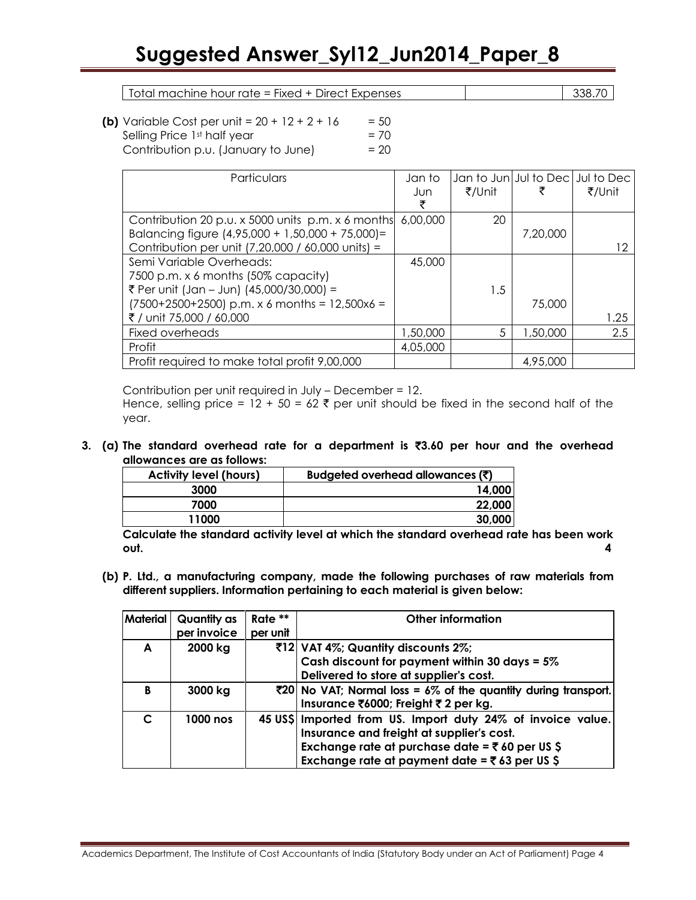Total machine hour rate = Fixed + Direct Expenses 338.70

| <b>(b)</b> Variable Cost per unit = $20 + 12 + 2 + 16$ | $= 50$ |
|--------------------------------------------------------|--------|
| Selling Price 1st half year                            | $= 70$ |
| Contribution p.u. (January to June)                    | $= 20$ |

| Particulars                                       | Jan to   |        |          | Jan to Jun Jul to Dec Jul to Dec |
|---------------------------------------------------|----------|--------|----------|----------------------------------|
|                                                   | Jun      | ₹/Unit |          | ₹/Unit                           |
|                                                   |          |        |          |                                  |
| Contribution 20 p.u. x 5000 units p.m. x 6 months | 6,00,000 | 20     |          |                                  |
| Balancing figure (4,95,000 + 1,50,000 + 75,000)=  |          |        | 7,20,000 |                                  |
| Contribution per unit (7,20,000 / 60,000 units) = |          |        |          | 12                               |
| Semi Variable Overheads:                          | 45,000   |        |          |                                  |
| 7500 p.m. x 6 months (50% capacity)               |          |        |          |                                  |
| ₹ Per unit (Jan - Jun) (45,000/30,000) =          |          | 1.5    |          |                                  |
| $(7500+2500+2500)$ p.m. x 6 months = 12,500x6 =   |          |        | 75,000   |                                  |
| ₹ / unit 75,000 / 60,000                          |          |        |          | 1.25                             |
| Fixed overheads                                   | 1,50,000 | 5      | 1,50,000 | 2.5                              |
| Profit                                            | 4,05,000 |        |          |                                  |
| Profit required to make total profit 9,00,000     |          |        | 4,95,000 |                                  |

Contribution per unit required in July – December = 12. Hence, selling price =  $12 + 50 = 62$   $\bar{\tau}$  per unit should be fixed in the second half of the year.

**3. (a) The standard overhead rate for a department is** `**3.60 per hour and the overhead allowances are as follows:** 

| <b>Activity level (hours)</b> | Budgeted overhead allowances $(\bar{\bar{z}})$ |  |
|-------------------------------|------------------------------------------------|--|
| 3000                          | 14,000                                         |  |
| 7000                          | 22,000                                         |  |
| 11000                         | 30,000                                         |  |

**Calculate the standard activity level at which the standard overhead rate has been work out. 4**

**(b) P. Ltd., a manufacturing company, made the following purchases of raw materials from different suppliers. Information pertaining to each material is given below:**

| <b>Material</b> | Quantity as | Rate **  | <b>Other information</b>                                       |
|-----------------|-------------|----------|----------------------------------------------------------------|
|                 | per invoice | per unit |                                                                |
| A               | 2000 kg     |          | ₹12 VAT 4%; Quantity discounts 2%;                             |
|                 |             |          | Cash discount for payment within 30 days = $5\%$               |
|                 |             |          | Delivered to store at supplier's cost.                         |
| B               | 3000 kg     |          | ₹20 No VAT; Normal loss = 6% of the quantity during transport. |
|                 |             |          | Insurance ₹6000; Freight ₹ 2 per kg.                           |
| C               | 1000 nos    |          | 45 US\$ Imported from US. Import duty 24% of invoice value.    |
|                 |             |          | Insurance and freight at supplier's cost.                      |
|                 |             |          | Exchange rate at purchase date = $\overline{5}$ 60 per US \$   |
|                 |             |          | Exchange rate at payment date = $\overline{5}$ 63 per US \$    |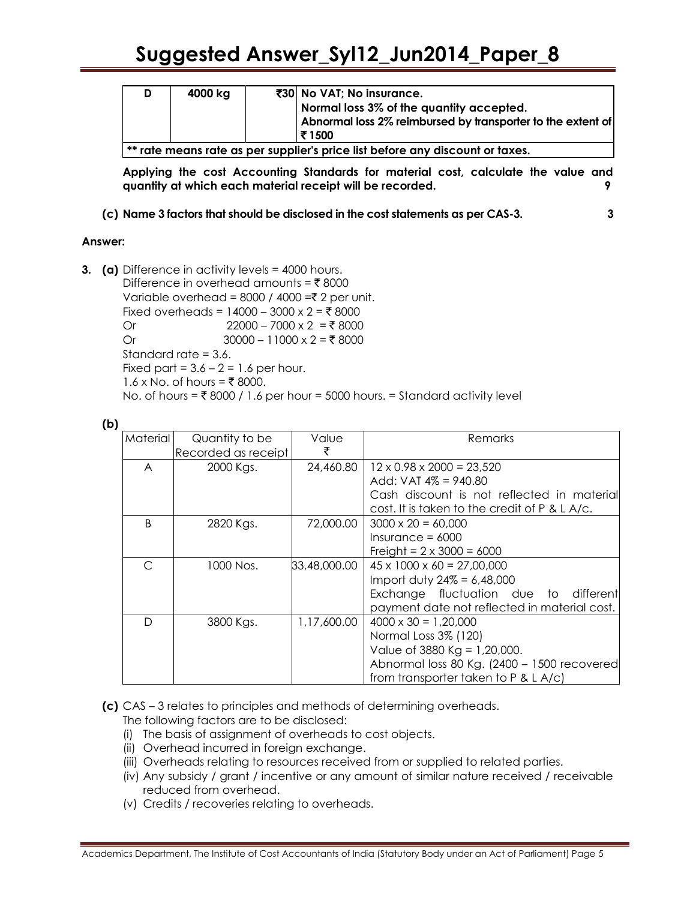| D                                                                             | 4000 kg |  | ₹30 No VAT; No insurance.<br>Normal loss 3% of the quantity accepted. |  |
|-------------------------------------------------------------------------------|---------|--|-----------------------------------------------------------------------|--|
|                                                                               |         |  | Abnormal loss 2% reimbursed by transporter to the extent of           |  |
|                                                                               |         |  | ⊤₹ 1500                                                               |  |
| ** rate means rate as per supplier's price list before any discount or taxes. |         |  |                                                                       |  |

**Applying the cost Accounting Standards for material cost, calculate the value and quantity at which each material receipt will be recorded. 9**

**(c) Name 3 factors that should be disclosed in the cost statements as per CAS-3. 3**

#### **Answer:**

**3. (a)** Difference in activity levels = 4000 hours. Difference in overhead amounts =  $\bar{\tau}$  8000 Variable overhead = 8000 / 4000 = $\overline{\xi}$  2 per unit. Fixed overheads =  $14000 - 3000 \times 2 = ₹ 8000$ Or 22000 – 7000 x 2 = ₹ 8000 Or  $30000 - 11000 \times 2 = ₹ 8000$ Standard rate = 3.6. Fixed part =  $3.6 - 2 = 1.6$  per hour. 1.6 x No. of hours = ₹ 8000. No. of hours =  $\overline{\xi}$  8000 / 1.6 per hour = 5000 hours. = Standard activity level

| ۰,              |
|-----------------|
| ۰,<br>۰.<br>. . |

| Material | Quantity to be      | Value        | Remarks                                       |
|----------|---------------------|--------------|-----------------------------------------------|
|          | Recorded as receipt | ₹            |                                               |
| A        | 2000 Kgs.           | 24,460.80    | $12 \times 0.98 \times 2000 = 23,520$         |
|          |                     |              | Add: $VAT 4\% = 940.80$                       |
|          |                     |              | Cash discount is not reflected in material    |
|          |                     |              | cost. It is taken to the credit of P & L A/c. |
| B        | 2820 Kgs.           | 72,000.00    | $3000 \times 20 = 60,000$                     |
|          |                     |              | $Insurance = 6000$                            |
|          |                     |              | Freight = $2 \times 3000 = 6000$              |
|          | 1000 Nos.           | 33,48,000.00 | $45 \times 1000 \times 60 = 27,00,000$        |
|          |                     |              | Import duty $24\% = 6,48,000$                 |
|          |                     |              | Exchange fluctuation due to different         |
|          |                     |              | payment date not reflected in material cost.  |
| D        | 3800 Kgs.           | 1,17,600.00  | $4000 \times 30 = 1.20,000$                   |
|          |                     |              | Normal Loss 3% (120)                          |
|          |                     |              | Value of 3880 Kg = $1,20,000$ .               |
|          |                     |              | Abnormal loss 80 Kg. (2400 - 1500 recovered   |
|          |                     |              | from transporter taken to P & L A/c)          |
|          |                     |              |                                               |

**(c)** CAS – 3 relates to principles and methods of determining overheads.

The following factors are to be disclosed:

- (i) The basis of assignment of overheads to cost objects.
- (ii) Overhead incurred in foreign exchange.
- (iii) Overheads relating to resources received from or supplied to related parties.
- (iv) Any subsidy / grant / incentive or any amount of similar nature received / receivable reduced from overhead.
- (v) Credits / recoveries relating to overheads.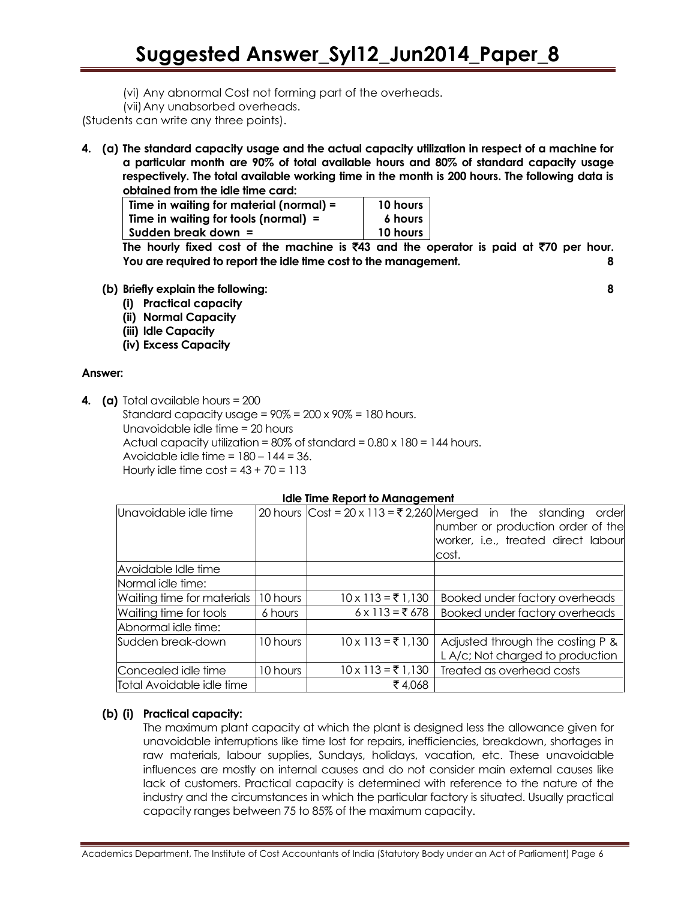- (vi) Any abnormal Cost not forming part of the overheads.
- (vii)Any unabsorbed overheads.

(Students can write any three points).

**4. (a) The standard capacity usage and the actual capacity utilization in respect of a machine for a particular month are 90% of total available hours and 80% of standard capacity usage respectively. The total available working time in the month is 200 hours. The following data is obtained from the idle time card:**

| Time in waiting for material (normal) = | 10 hours |
|-----------------------------------------|----------|
| Time in waiting for tools (normal) $=$  | 6 hours  |
| Sudden break down =                     | 10 hours |

The hourly fixed cost of the machine is  $\bar{z}$ 43 and the operator is paid at  $\bar{z}$ 70 per hour. **You are required to report the idle time cost to the management. 8**

- **(b) Briefly explain the following: 8**
	- **(i) Practical capacity**
	- **(ii) Normal Capacity**
	- **(iii) Idle Capacity**
	- **(iv) Excess Capacity**

#### **Answer:**

**4. (a)** Total available hours = 200

Standard capacity usage =  $90\%$  =  $200 \times 90\%$  = 180 hours. Unavoidable idle time = 20 hours Actual capacity utilization =  $80\%$  of standard =  $0.80 \times 180 = 144$  hours. Avoidable idle time  $= 180 - 144 = 36$ . Hourly idle time  $\cos t = 43 + 70 = 113$ 

#### **Idle Time Report to Management**

| Unavoidable idle time      |          |                          | 20 hours $\text{Cost} = 20 \times 113 = ₹2,260 \text{Merged}$ in the standing<br>order |
|----------------------------|----------|--------------------------|----------------------------------------------------------------------------------------|
|                            |          |                          | number or production order of the                                                      |
|                            |          |                          | worker, i.e., treated direct labour                                                    |
|                            |          |                          | cost.                                                                                  |
| Avoidable Idle time        |          |                          |                                                                                        |
| Normal idle time:          |          |                          |                                                                                        |
| Waiting time for materials | 10 hours | $10 \times 113 = ₹1,130$ | Booked under factory overheads                                                         |
| Waiting time for tools     | 6 hours  | $6 \times 113 = ₹678$    | Booked under factory overheads                                                         |
| Abnormal idle time:        |          |                          |                                                                                        |
| Sudden break-down          | 10 hours | $10 \times 113 = ₹1,130$ | Adjusted through the costing P &                                                       |
|                            |          |                          | L A/c; Not charged to production                                                       |
| Concealed idle time        | 10 hours | $10 \times 113 = ₹1,130$ | Treated as overhead costs                                                              |
| Total Avoidable idle time  |          | ₹4,068                   |                                                                                        |

#### **(b) (i) Practical capacity:**

The maximum plant capacity at which the plant is designed less the allowance given for unavoidable interruptions like time lost for repairs, inefficiencies, breakdown, shortages in raw materials, labour supplies, Sundays, holidays, vacation, etc. These unavoidable influences are mostly on internal causes and do not consider main external causes like lack of customers. Practical capacity is determined with reference to the nature of the industry and the circumstances in which the particular factory is situated. Usually practical capacity ranges between 75 to 85% of the maximum capacity.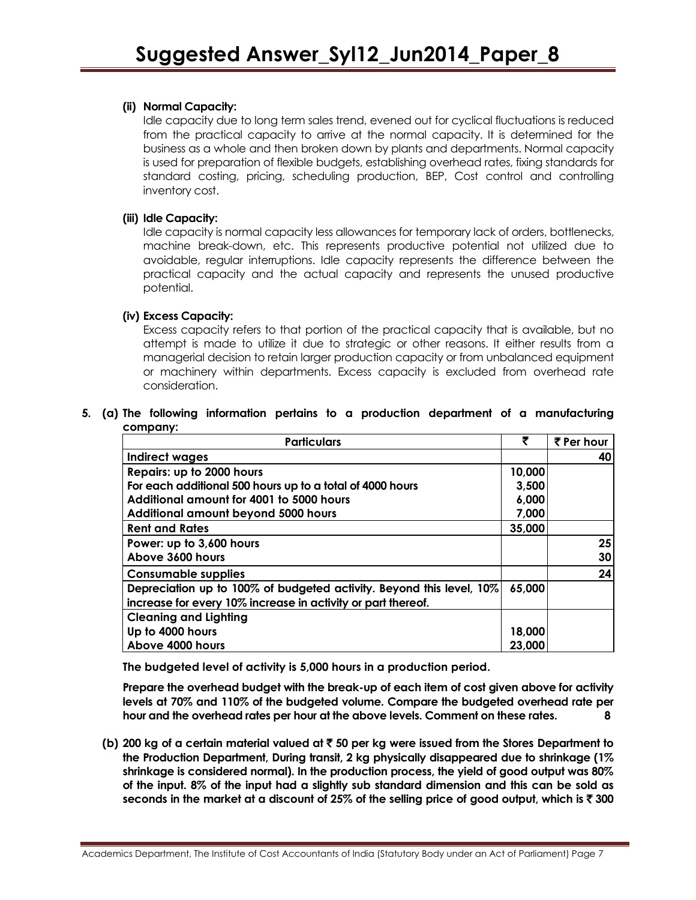#### **(ii) Normal Capacity:**

Idle capacity due to long term sales trend, evened out for cyclical fluctuations is reduced from the practical capacity to arrive at the normal capacity. It is determined for the business as a whole and then broken down by plants and departments. Normal capacity is used for preparation of flexible budgets, establishing overhead rates, fixing standards for standard costing, pricing, scheduling production, BEP, Cost control and controlling inventory cost.

#### **(iii) Idle Capacity:**

Idle capacity is normal capacity less allowances for temporary lack of orders, bottlenecks, machine break-down, etc. This represents productive potential not utilized due to avoidable, regular interruptions. Idle capacity represents the difference between the practical capacity and the actual capacity and represents the unused productive potential.

#### **(iv) Excess Capacity:**

Excess capacity refers to that portion of the practical capacity that is available, but no attempt is made to utilize it due to strategic or other reasons. It either results from a managerial decision to retain larger production capacity or from unbalanced equipment or machinery within departments. Excess capacity is excluded from overhead rate consideration.

#### **5. (a) The following information pertains to a production department of a manufacturing company:**

| <b>Particulars</b>                                                   | ₹      | ₹ Per hour |
|----------------------------------------------------------------------|--------|------------|
| Indirect wages                                                       |        | 40         |
| Repairs: up to 2000 hours                                            | 10,000 |            |
| For each additional 500 hours up to a total of 4000 hours            | 3,500  |            |
| Additional amount for 4001 to 5000 hours                             | 6,000  |            |
| <b>Additional amount beyond 5000 hours</b>                           | 7,000  |            |
| <b>Rent and Rates</b>                                                | 35,000 |            |
| Power: up to 3,600 hours                                             |        | 25         |
| Above 3600 hours                                                     |        | 30         |
| <b>Consumable supplies</b>                                           |        | 24         |
| Depreciation up to 100% of budgeted activity. Beyond this level, 10% | 65,000 |            |
| increase for every 10% increase in activity or part thereof.         |        |            |
| <b>Cleaning and Lighting</b>                                         |        |            |
| Up to 4000 hours                                                     | 18,000 |            |
| Above 4000 hours                                                     | 23,000 |            |

**The budgeted level of activity is 5,000 hours in a production period.**

**Prepare the overhead budget with the break-up of each item of cost given above for activity levels at 70% and 110% of the budgeted volume. Compare the budgeted overhead rate per hour and the overhead rates per hour at the above levels. Comment on these rates. 8**

**(b) 200 kg of a certain material valued at** ` **50 per kg were issued from the Stores Department to the Production Department, During transit, 2 kg physically disappeared due to shrinkage (1% shrinkage is considered normal). In the production process, the yield of good output was 80% of the input. 8% of the input had a slightly sub standard dimension and this can be sold as seconds in the market at a discount of 25% of the selling price of good output, which is** ` **300**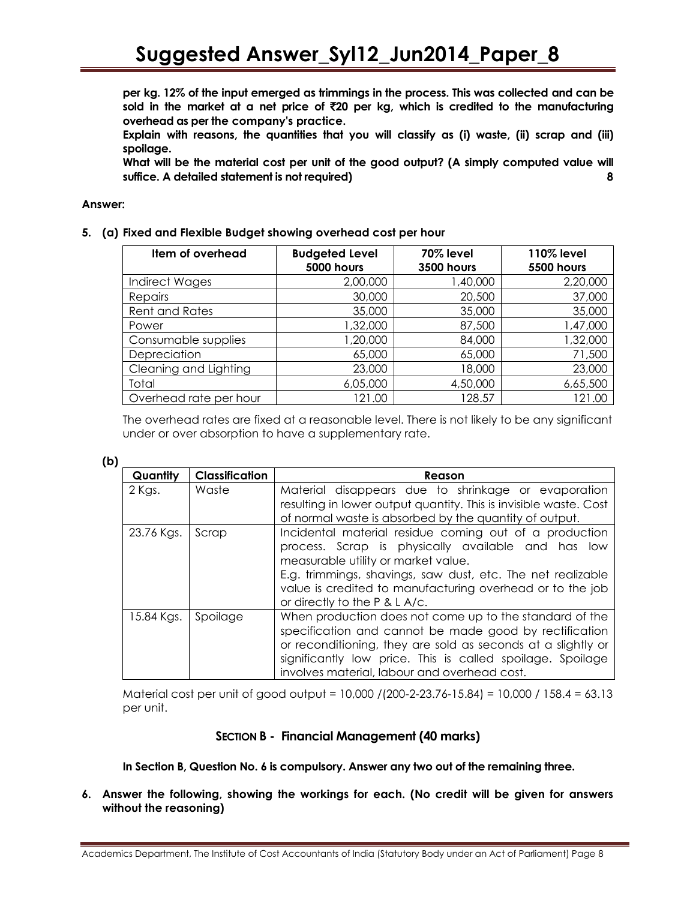**per kg. 12% of the input emerged as trimmings in the process. This was collected and can be sold in the market at a net price of** `**20 per kg, which is credited to the manufacturing overhead as per the company's practice.**

**Explain with reasons, the quantities that you will classify as (i) waste, (ii) scrap and (iii) spoilage.**

**What will be the material cost per unit of the good output? (A simply computed value will suffice. A detailed statement is not required) 8**

#### **Answer:**

#### **5. (a) Fixed and Flexible Budget showing overhead cost per hour**

| Item of overhead       | <b>Budgeted Level</b><br><b>5000 hours</b> | <b>70% level</b><br><b>3500 hours</b> | <b>110% level</b><br><b>5500 hours</b> |
|------------------------|--------------------------------------------|---------------------------------------|----------------------------------------|
| <b>Indirect Wages</b>  | 2,00,000                                   | 1,40,000                              | 2,20,000                               |
| Repairs                | 30,000                                     | 20,500                                | 37,000                                 |
| <b>Rent and Rates</b>  | 35,000                                     | 35,000                                | 35,000                                 |
| Power                  | 1,32,000                                   | 87,500                                | 1,47,000                               |
| Consumable supplies    | 1,20,000                                   | 84,000                                | 1,32,000                               |
| Depreciation           | 65,000                                     | 65,000                                | 71,500                                 |
| Cleaning and Lighting  | 23,000                                     | 18,000                                | 23,000                                 |
| Total                  | 6,05,000                                   | 4,50,000                              | 6,65,500                               |
| Overhead rate per hour | 121.00                                     | 128.57                                | 21.00                                  |

The overhead rates are fixed at a reasonable level. There is not likely to be any significant under or over absorption to have a supplementary rate.

#### **(b)**

| Quantity   | <b>Classification</b> | Reason                                                                                                                                                                                                                                                                                                           |
|------------|-----------------------|------------------------------------------------------------------------------------------------------------------------------------------------------------------------------------------------------------------------------------------------------------------------------------------------------------------|
| 2 Kgs.     | Waste                 | Material disappears due to shrinkage or evaporation<br>resulting in lower output quantity. This is invisible waste. Cost<br>of normal waste is absorbed by the quantity of output.                                                                                                                               |
| 23.76 Kgs. | Scrap                 | Incidental material residue coming out of a production<br>process. Scrap is physically available and has low<br>measurable utility or market value.<br>E.g. trimmings, shavings, saw dust, etc. The net realizable<br>value is credited to manufacturing overhead or to the job<br>or directly to the P & L A/c. |
| 15.84 Kgs. | Spoilage              | When production does not come up to the standard of the<br>specification and cannot be made good by rectification<br>or reconditioning, they are sold as seconds at a slightly or<br>significantly low price. This is called spoilage. Spoilage<br>involves material, labour and overhead cost.                  |

Material cost per unit of good output = 10,000 /(200-2-23.76-15.84) = 10,000 / 158.4 = 63.13 per unit.

#### **SECTION B - Financial Management (40 marks)**

**In Section B, Question No. 6 is compulsory. Answer any two out of the remaining three.**

**6. Answer the following, showing the workings for each. (No credit will be given for answers without the reasoning)**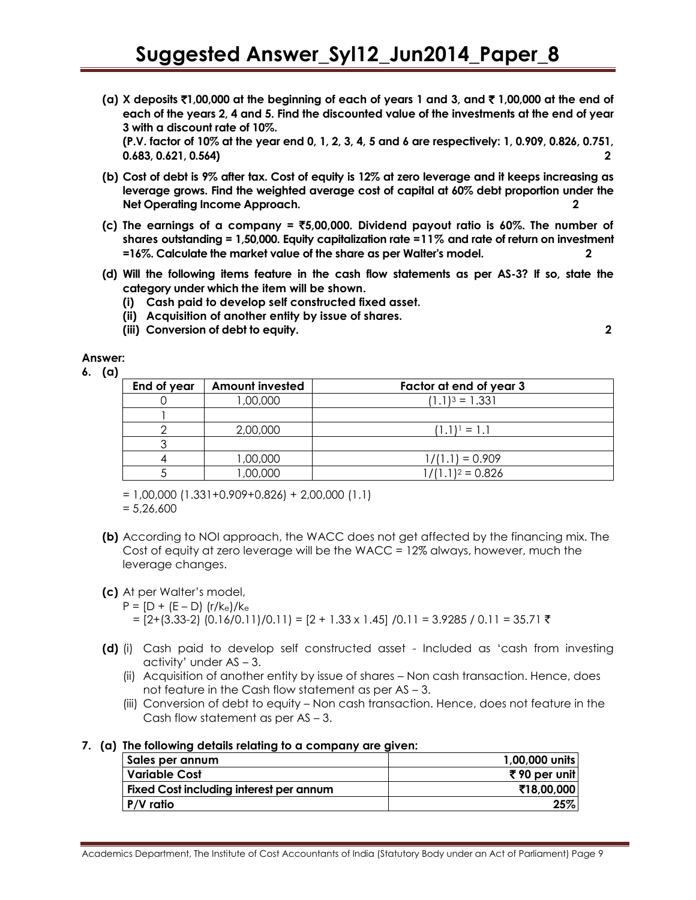**(a) X deposits** `**1,00,000 at the beginning of each of years 1 and 3, and** ` **1,00,000 at the end of each of the years 2, 4 and 5. Find the discounted value of the investments at the end of year 3 with a discount rate of 10%.**

**(P.V. factor of 10% at the year end 0, 1, 2, 3, 4, 5 and 6 are respectively: 1, 0.909, 0.826, 0.751, 0.683, 0.621, 0.564) 2**

- **(b) Cost of debt is 9% after tax. Cost of equity is 12% at zero leverage and it keeps increasing as leverage grows. Find the weighted average cost of capital at 60% debt proportion under the Net Operating Income Approach. 2**
- **(c) The earnings of a company =** `**5,00,000. Dividend payout ratio is 60%. The number of shares outstanding = 1,50,000. Equity capitalization rate =11% and rate of return on investment =16%. Calculate the market value of the share as per Walter's model. 2**
- **(d) Will the following items feature in the cash flow statements as per AS-3? If so, state the category under which the item will be shown.**
	- **(i) Cash paid to develop self constructed fixed asset.**
	- **(ii) Acquisition of another entity by issue of shares.**
	- **(iii) Conversion of debt to equity. 2**

**Answer:** 

**6. (a)**

| End of year | <b>Amount invested</b> | Factor at end of year 3 |
|-------------|------------------------|-------------------------|
|             | 1,00,000               | $(1.1)^3 = 1.331$       |
|             |                        |                         |
|             | 2,00,000               | $(1.1)^1 = 1.1$         |
|             |                        |                         |
|             | 1,00,000               | $1/(1.1) = 0.909$       |
|             | 000,000                | $1/(1.1)^2 = 0.826$     |

 $= 1,00,000$  (1.331+0.909+0.826) + 2,00,000 (1.1)

 $= 5,26,600$ 

**(b)** According to NOI approach, the WACC does not get affected by the financing mix. The Cost of equity at zero leverage will be the WACC = 12% always, however, much the leverage changes.

#### **(c)** At per Walter's model,

- $P = [D + (E D)] (r/k_e)/k_e$ 
	- $= [2+(3.33-2) (0.16/0.11)/0.11] = [2 + 1.33 \times 1.45] /0.11 = 3.9285 / 0.11 = 35.71$  ₹
- **(d)** (i) Cash paid to develop self constructed asset Included as 'cash from investing activity' under  $AS - 3$ .
	- (ii) Acquisition of another entity by issue of shares Non cash transaction. Hence, does not feature in the Cash flow statement as per AS – 3.
	- (iii) Conversion of debt to equity Non cash transaction. Hence, does not feature in the Cash flow statement as per AS – 3.

#### **7. (a) The following details relating to a company are given:**

| Sales per annum                                | 1,00,000 units |
|------------------------------------------------|----------------|
| l Variable Cost                                | ₹90 per unit   |
| <b>Fixed Cost including interest per annum</b> | ₹18.00.0001    |
| $P/V$ ratio                                    | 25%            |

Academics Department, The Institute of Cost Accountants of India (Statutory Body under an Act of Parliament) Page 9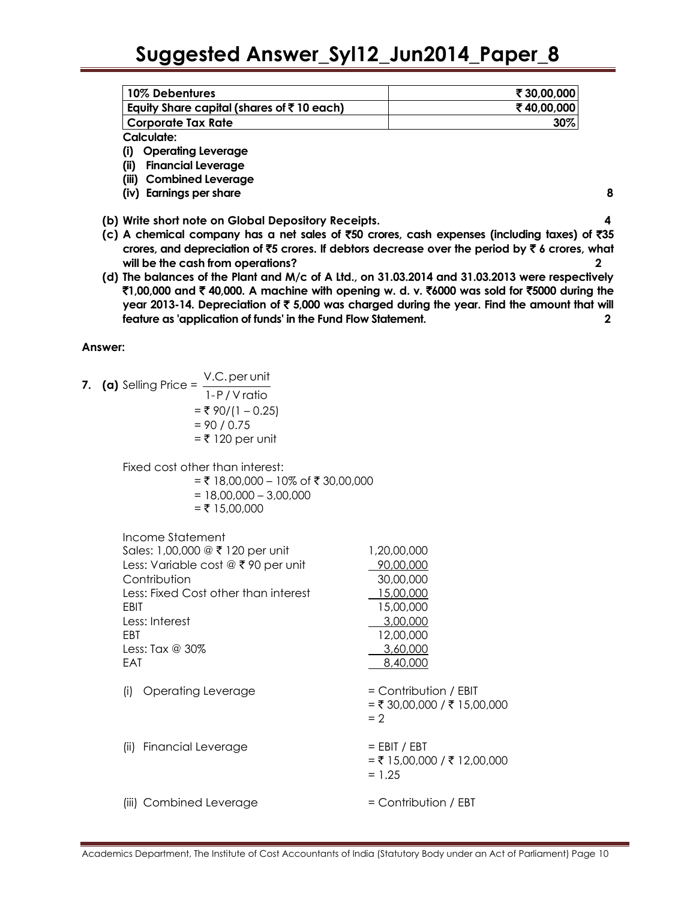| 10% Debentures                                        | ₹30,00,000 |
|-------------------------------------------------------|------------|
| Equity Share capital (shares of $\bar{\tau}$ 10 each) | ₹40,00,000 |
| l Corporate Tax Rate                                  | 30%        |
| Calculate:                                            |            |

**(i) Operating Leverage**

**(ii) Financial Leverage**

**(iii) Combined Leverage**

**(iv) Earnings per share** 8

**(b) Write short note on Global Depository Receipts. 4**

- **(c) A chemical company has a net sales of** `**50 crores, cash expenses (including taxes) of** `**35 crores, and depreciation of** `**5 crores. If debtors decrease over the period by** ` **6 crores, what will be the cash from operations? 2**
- **(d) The balances of the Plant and M/c of A Ltd., on 31.03.2014 and 31.03.2013 were respectively**  `**1,00,000 and** ` **40,000. A machine with opening w. d. v.** `**6000 was sold for** `**5000 during the year 2013-14. Depreciation of** ` **5,000 was charged during the year. Find the amount that will feature as 'application of funds' in the Fund Flow Statement. 2**

**Answer:** 

7. (a) Selling Price = 
$$
\frac{V.C. \text{per unit}}{1 - P/V \text{ ratio}}
$$

 $=$  ₹ 90/(1 – 0.25)  $= 90 / 0.75$  $=$  ₹ 120 per unit

Fixed cost other than interest:

= ₹ 18,00,000 – 10% of ₹ 30,00,000  $= 18,00,000 - 3,00,000$ 

 $=$  ₹ 15,00,000

| Income Statement<br>Sales: 1,00,000 @ ₹ 120 per unit<br>Less: Variable cost @ ₹90 per unit<br>Contribution<br>Less: Fixed Cost other than interest<br>EBIT<br>Less: Interest<br><b>FBT</b><br>Less: Tax @ $30\%$<br>EAT | 1,20,00,000<br>90,00,000<br>30,00,000<br>15,00,000<br>15,00,000<br>3,00,000<br>12,00,000<br>3,60,000<br>8,40,000 |
|-------------------------------------------------------------------------------------------------------------------------------------------------------------------------------------------------------------------------|------------------------------------------------------------------------------------------------------------------|
| Operating Leverage<br>(i)                                                                                                                                                                                               | $=$ Contribution / EBIT<br>= ₹ 30,00,000 / ₹ 15,00,000<br>$= 2$                                                  |
| <b>Financial Leverage</b><br>(ii)                                                                                                                                                                                       | $=$ EBIT / EBT<br>$= ₹ 15,00,000 / ₹ 12,00,000$<br>$= 1.25$                                                      |
| (iii) Combined Leverage                                                                                                                                                                                                 | $=$ Contribution / EBT                                                                                           |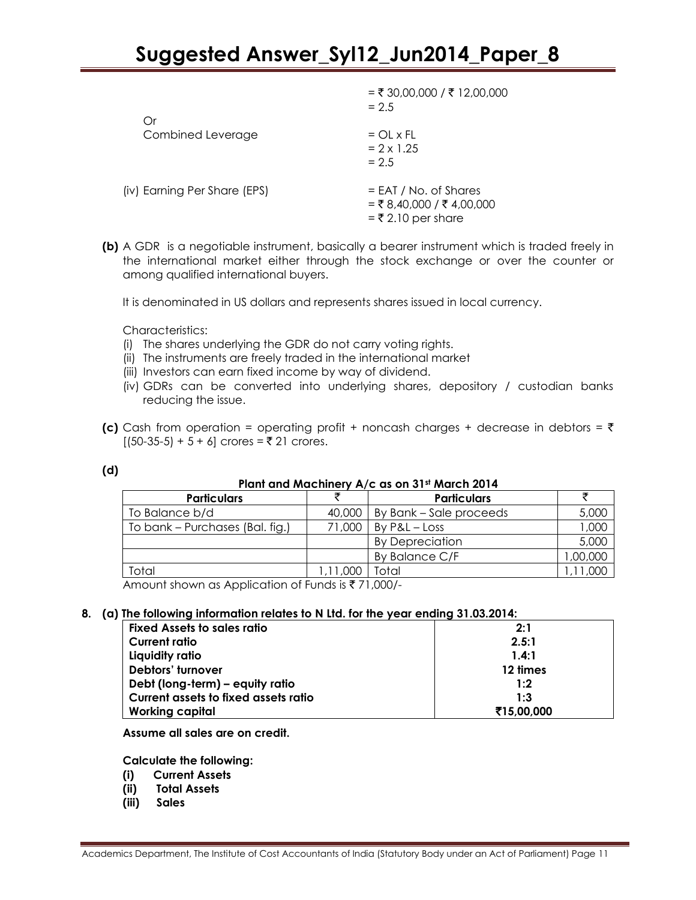|                              | $=$ ₹ 30,00,000 / ₹ 12,00,000<br>$= 2.5$                                       |
|------------------------------|--------------------------------------------------------------------------------|
| Оr                           |                                                                                |
| Combined Leverage            | $=$ OL x FL<br>$= 2 \times 1.25$<br>$= 2.5$                                    |
| (iv) Earning Per Share (EPS) | $=$ EAT / No. of Shares<br>$=$ ₹ 8,40,000 / ₹ 4,00,000<br>$=$ ₹ 2.10 per share |

**(b)** A GDR is a negotiable instrument, basically a bearer instrument which is traded freely in the international market either through the stock exchange or over the counter or among qualified international buyers.

It is denominated in US dollars and represents shares issued in local currency.

Characteristics:

- (i) The shares underlying the GDR do not carry voting rights.
- (ii) The instruments are freely traded in the international market
- (iii) Investors can earn fixed income by way of dividend.
- (iv) GDRs can be converted into underlying shares, depository / custodian banks reducing the issue.
- **(c)** Cash from operation = operating profit + noncash charges + decrease in debtors =  $\bar{\tau}$  $[(50-35-5) + 5 + 6]$  crores =  $\overline{5}$  21 crores.

| ٧             |  |
|---------------|--|
| ٠<br>×<br>. . |  |

#### **Plant and Machinery A/c as on 31st March 2014**

|          | <b>Particulars</b>      |         |
|----------|-------------------------|---------|
| 40,000   | By Bank – Sale proceeds | 5,000   |
| 71,000   | $By P&L - Loss$         | 1,000   |
|          | <b>By Depreciation</b>  | 5,000   |
|          | By Balance C/F          | 00,000, |
| 1,11,000 | Total                   |         |
|          |                         |         |

Amount shown as Application of Funds is  $\overline{\xi}$  71,000/-

#### **8. (a) The following information relates to N Ltd. for the year ending 31.03.2014:**

| <b>Fixed Assets to sales ratio</b>   | 2:1        |
|--------------------------------------|------------|
| <b>Current ratio</b>                 | 2.5:1      |
| Liquidity ratio                      | 1.4:1      |
| Debtors' turnover                    | 12 times   |
| Debt (long-term) – equity ratio      | 1:2        |
| Current assets to fixed assets ratio | 1:3        |
| <b>Working capital</b>               | ₹15,00,000 |

**Assume all sales are on credit.**

**Calculate the following:**

- **(i) Current Assets**
- **(ii) Total Assets**
- **(iii) Sales**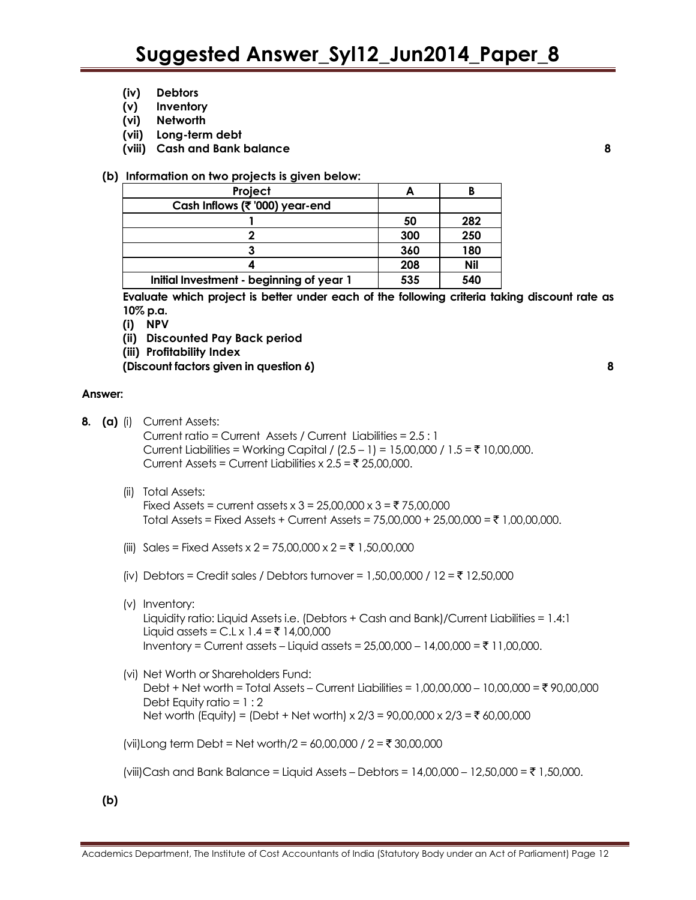- **(iv) Debtors**
- **(v) Inventory**
- **(vi) Networth**
- **(vii) Long-term debt**
- **(viii) Cash and Bank balance 8**

#### **(b) Information on two projects is given below:**

| Project                                  |     |     |
|------------------------------------------|-----|-----|
| Cash Inflows (₹'000) year-end            |     |     |
|                                          | 50  | 282 |
|                                          | 300 | 250 |
|                                          | 360 | 180 |
|                                          | 208 | Nil |
| Initial Investment - beginning of year 1 | 535 | 540 |

**Evaluate which project is better under each of the following criteria taking discount rate as 10% p.a.**

- **(i) NPV**
- **(ii) Discounted Pay Back period**
- **(iii) Profitability Index**

**(Discount factors given in question 6) 8**

#### **Answer:**

- **8. (a)** (i) Current Assets: Current ratio = Current Assets / Current Liabilities = 2.5 : 1 Current Liabilities = Working Capital /  $(2.5 - 1) = 15,00,000 / 1.5 = ₹ 10,00,000$ . Current Assets = Current Liabilities x  $2.5 = ₹ 25,00,000$ . (ii) Total Assets:
	- Fixed Assets = current assets x  $3 = 25,00,000 \times 3 = 75,00,000$ Total Assets = Fixed Assets + Current Assets =  $75,00,000 + 25,00,000 = \t{7}1,00,00,000$ .
	- (iii) Sales = Fixed Assets x 2 = 75,00,000 x 2 = ₹ 1,50,00,000
	- (iv) Debtors = Credit sales / Debtors turnover = 1,50,00,000 / 12 = ₹ 12,50,000
	- (v) Inventory: Liquidity ratio: Liquid Assets i.e. (Debtors + Cash and Bank)/Current Liabilities = 1.4:1 Liquid assets = C.L x 1.4 = ₹ 14,00,000 Inventory = Current assets – Liquid assets =  $25,00,000 - 14,00,000 = ₹ 11,00,000$ .
	- (vi) Net Worth or Shareholders Fund: Debt + Net worth = Total Assets – Current Liabilities =  $1,00,00,000 - 10,00,000 = ₹90,00,000$ Debt Equity ratio =  $1:2$ Net worth (Equity) = (Debt + Net worth) x  $2/3 = 90,00,000 \times 2/3 = ₹ 60,00,000$

(vii)Long term Debt = Net worth/2 = 60,00,000 /  $2 = ₹ 30,00,000$ 

(viii)Cash and Bank Balance = Liquid Assets – Debtors = 14,00,000 – 12,50,000 = ₹ 1,50,000.

**(b)**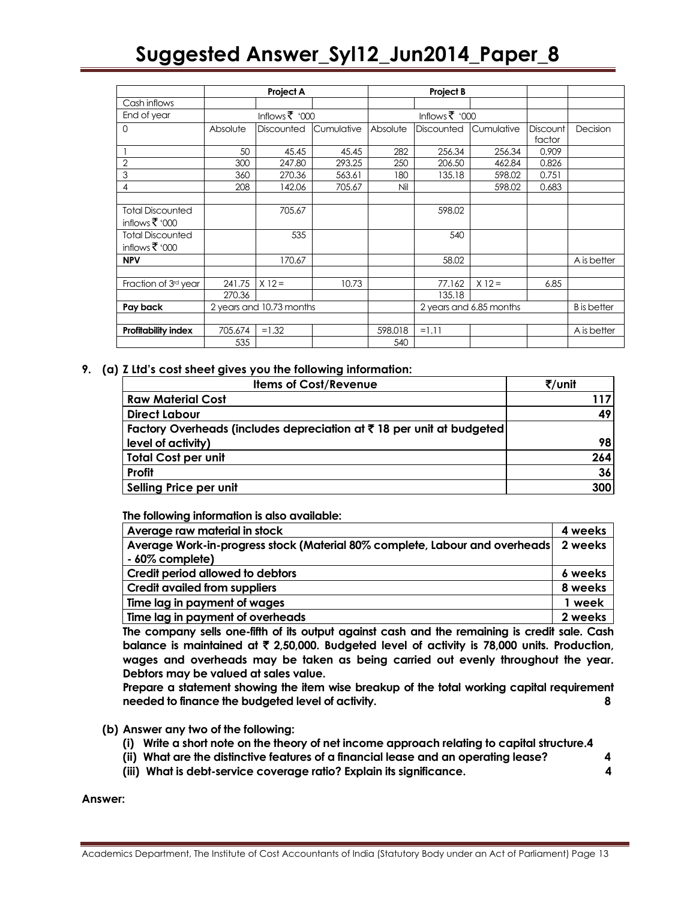|                                        | Project A                |                | Project B  |                         |                   |            |                    |             |
|----------------------------------------|--------------------------|----------------|------------|-------------------------|-------------------|------------|--------------------|-------------|
| Cash inflows                           |                          |                |            |                         |                   |            |                    |             |
| End of year                            |                          | Inflows ₹ '000 |            |                         | Inflows ₹ '000    |            |                    |             |
| $\circ$                                | Absolute                 | Discounted     | Cumulative | Absolute                | <b>Discounted</b> | Cumulative | <b>Discount</b>    | Decision    |
|                                        |                          |                |            |                         |                   |            | factor             |             |
|                                        | 50                       | 45.45          | 45.45      | 282                     | 256.34            | 256.34     | 0.909              |             |
| $\overline{2}$                         | 300                      | 247.80         | 293.25     | 250                     | 206.50            | 462.84     | 0.826              |             |
| 3                                      | 360                      | 270.36         | 563.61     | 180                     | 135.18            | 598.02     | 0.751              |             |
| 4                                      | 208                      | 142.06         | 705.67     | Nil                     |                   | 598.02     | 0.683              |             |
|                                        |                          |                |            |                         |                   |            |                    |             |
| <b>Total Discounted</b>                |                          | 705.67         |            |                         | 598.02            |            |                    |             |
| inflows ₹ '000                         |                          |                |            |                         |                   |            |                    |             |
| <b>Total Discounted</b>                |                          | 535            |            |                         | 540               |            |                    |             |
| inflows $\overline{\mathfrak{F}}$ '000 |                          |                |            |                         |                   |            |                    |             |
| <b>NPV</b>                             |                          | 170.67         |            |                         | 58.02             |            |                    | A is better |
|                                        |                          |                |            |                         |                   |            |                    |             |
| Fraction of 3rd year                   | 241.75                   | $X 12 =$       | 10.73      |                         | 77.162            | $X 12 =$   | 6.85               |             |
|                                        | 270.36                   |                |            |                         | 135.18            |            |                    |             |
| Pay back                               | 2 years and 10.73 months |                |            | 2 years and 6.85 months |                   |            | <b>B</b> is better |             |
|                                        |                          |                |            |                         |                   |            |                    |             |
| Profitability index                    | 705.674                  | $=1.32$        |            | 598.018                 | $=1.11$           |            |                    | A is better |
|                                        | 535                      |                |            | 540                     |                   |            |                    |             |

#### **9. (a) Z Ltd's cost sheet gives you the following information:**

| <b>Items of Cost/Revenue</b>                                          | ₹/unit |
|-----------------------------------------------------------------------|--------|
| <b>Raw Material Cost</b>                                              | 117    |
| <b>Direct Labour</b>                                                  | 49     |
| Factory Overheads (includes depreciation at ₹18 per unit at budgeted) |        |
| level of activity)                                                    | 98     |
| <b>Total Cost per unit</b>                                            | 264    |
| Profit                                                                | 36     |
| Selling Price per unit                                                | 300    |

**The following information is also available:**

| Average raw material in stock                                                        | 4 weeks |
|--------------------------------------------------------------------------------------|---------|
| Average Work-in-progress stock (Material 80% complete, Labour and overheads) 2 weeks |         |
| - 60% complete)                                                                      |         |
| Credit period allowed to debtors                                                     | 6 weeks |
| <b>Credit availed from suppliers</b>                                                 | 8 weeks |
| Time lag in payment of wages                                                         | 1 week  |
| Time lag in payment of overheads                                                     | 2 weeks |

**The company sells one-fifth of its output against cash and the remaining is credit sale. Cash balance is maintained at** ` **2,50,000. Budgeted level of activity is 78,000 units. Production, wages and overheads may be taken as being carried out evenly throughout the year. Debtors may be valued at sales value.**

**Prepare a statement showing the item wise breakup of the total working capital requirement needed to finance the budgeted level of activity. 8**

- **(b) Answer any two of the following:**
	- **(i) Write a short note on the theory of net income approach relating to capital structure.4**
	- **(ii) What are the distinctive features of a financial lease and an operating lease? 4**
	- **(iii) What is debt-service coverage ratio? Explain its significance. 4**

**Answer:**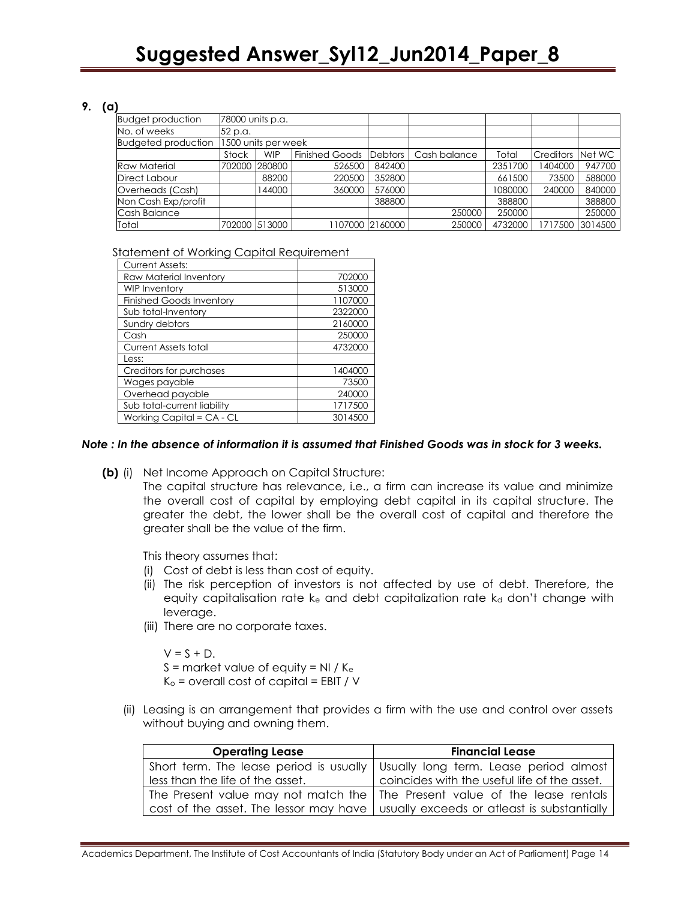#### **9. (a)**

| <b>Budget production</b>   | 78000 units p.a. |                     |                       |                 |              |         |                  |                 |
|----------------------------|------------------|---------------------|-----------------------|-----------------|--------------|---------|------------------|-----------------|
| No. of weeks               | 52 p.a.          |                     |                       |                 |              |         |                  |                 |
| <b>Budgeted production</b> |                  | 1500 units per week |                       |                 |              |         |                  |                 |
|                            | Stock            | <b>WIP</b>          | <b>Finished Goods</b> | Debtors         | Cash balance | Total   | <b>Creditors</b> | Net WC          |
| <b>Raw Material</b>        | 702000           | 280800              | 526500                | 842400          |              | 2351700 | 1404000          | 947700          |
| Direct Labour              |                  | 88200               | 220500                | 352800          |              | 661500  | 73500            | 588000          |
| Overheads (Cash)           |                  | 144000              | 360000                | 576000          |              | 1080000 | 240000           | 840000          |
| Non Cash Exp/profit        |                  |                     |                       | 388800          |              | 388800  |                  | 388800          |
| Cash Balance               |                  |                     |                       |                 | 250000       | 250000  |                  | 250000          |
| Total                      |                  | 702000 513000       |                       | 1107000 2160000 | 250000       | 4732000 |                  | 1717500 3014500 |

Statement of Working Capital Requirement

| <b>Current Assets:</b>          |         |
|---------------------------------|---------|
| Raw Material Inventory          | 702000  |
| <b>WIP Inventory</b>            | 513000  |
| <b>Finished Goods Inventory</b> | 1107000 |
| Sub total-Inventory             | 2322000 |
| Sundry debtors                  | 2160000 |
| Cash                            | 250000  |
| <b>Current Assets total</b>     | 4732000 |
| Less:                           |         |
| Creditors for purchases         | 1404000 |
| Wages payable                   | 73500   |
| Overhead payable                | 240000  |
| Sub total-current liability     | 1717500 |
| Working Capital = CA - CL       | 3014500 |

#### *Note : In the absence of information it is assumed that Finished Goods was in stock for 3 weeks.*

**(b)** (i) Net Income Approach on Capital Structure:

The capital structure has relevance, i.e., a firm can increase its value and minimize the overall cost of capital by employing debt capital in its capital structure. The greater the debt, the lower shall be the overall cost of capital and therefore the greater shall be the value of the firm.

This theory assumes that:

- (i) Cost of debt is less than cost of equity.
- (ii) The risk perception of investors is not affected by use of debt. Therefore, the equity capitalisation rate  $k_{e}$  and debt capitalization rate  $k_{d}$  don't change with leverage.
- (iii) There are no corporate taxes.

 $V = S + D$ .  $S =$  market value of equity = NI /  $K_e$  $K<sub>o</sub>$  = overall cost of capital = EBIT / V

(ii) Leasing is an arrangement that provides a firm with the use and control over assets without buying and owning them.

| <b>Operating Lease</b>           | <b>Financial Lease</b>                                                               |
|----------------------------------|--------------------------------------------------------------------------------------|
|                                  | Short term. The lease period is usually Usually long term. Lease period almost       |
| less than the life of the asset. | coincides with the useful life of the asset.                                         |
|                                  | The Present value may not match the The Present value of the lease rentals           |
|                                  | cost of the asset. The lessor may have   usually exceeds or atleast is substantially |